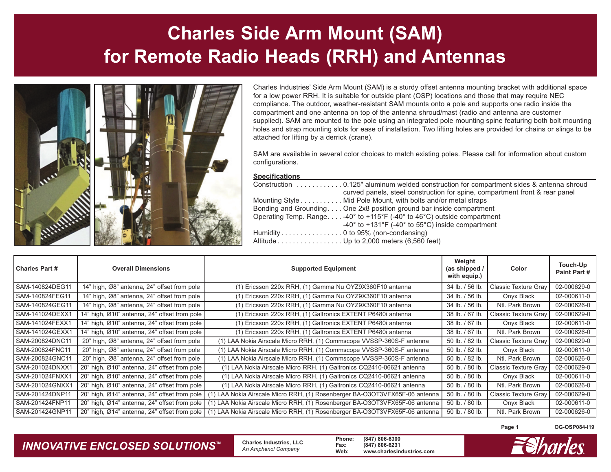# **Charles Side Arm Mount (SAM) for Remote Radio Heads (RRH) and Antennas**



Charles Industries' Side Arm Mount (SAM) is a sturdy offset antenna mounting bracket with additional space for a low power RRH. It is suitable for outside plant (OSP) locations and those that may require NEC compliance. The outdoor, weather-resistant SAM mounts onto a pole and supports one radio inside the compartment and one antenna on top of the antenna shroud/mast (radio and antenna are customer supplied). SAM are mounted to the pole using an integrated pole mounting spine featuring both bolt mounting holes and strap mounting slots for ease of installation. Two lifting holes are provided for chains or slings to be attached for lifting by a derrick (crane).

SAM are available in several color choices to match existing poles. Please call for information about custom configurations.

#### **Specifications**

|                                          | curved panels, steel construction for spine, compartment front & rear panel               |
|------------------------------------------|-------------------------------------------------------------------------------------------|
|                                          | Mounting Style Mid Pole Mount, with bolts and/or metal straps                             |
|                                          | Bonding and Grounding One 2x8 position ground bar inside compartment                      |
|                                          | Operating Temp. Range $-40^{\circ}$ to $+115^{\circ}F$ (-40° to 46°C) outside compartment |
|                                          | $-40^{\circ}$ to $+131^{\circ}F$ (-40° to 55°C) inside compartment                        |
| Humidity 0 to 95% (non-condensing)       |                                                                                           |
| Altitude Up to 2,000 meters (6,560 feet) |                                                                                           |

| <b>Charles Part #</b> | <b>Overall Dimensions</b>                    | <b>Supported Equipment</b>                                                                                               | Weight<br>(as shipped /<br>with equip.) | Color                | Touch-Up<br>Paint Part # |
|-----------------------|----------------------------------------------|--------------------------------------------------------------------------------------------------------------------------|-----------------------------------------|----------------------|--------------------------|
| SAM-140824DEG11       | 14" high, Ø8" antenna, 24" offset from pole  | (1) Ericsson 220x RRH, (1) Gamma Nu OYZ9X360F10 antenna                                                                  | 34 lb. / 56 lb.                         | Classic Texture Gray | 02-000629-0              |
| SAM-140824FEG11       | 14" high, Ø8" antenna, 24" offset from pole  | (1) Ericsson 220x RRH, (1) Gamma Nu OYZ9X360F10 antenna                                                                  | 34 lb. / 56 lb.                         | Onyx Black           | 02-000611-0              |
| SAM-140824GEG11       | 14" high, Ø8" antenna, 24" offset from pole  | (1) Ericsson 220x RRH, (1) Gamma Nu OYZ9X360F10 antenna                                                                  | 34 lb. / 56 lb.                         | Ntl. Park Brown      | 02-000626-0              |
| SAM-141024DEXX1       | 14" high, Ø10" antenna, 24" offset from pole | (1) Ericsson 220x RRH, (1) Galtronics EXTENT P6480i antenna                                                              | 38 lb. / 67 lb.                         | Classic Texture Gray | 02-000629-0              |
| SAM-141024FEXX1       | 14" high, Ø10" antenna, 24" offset from pole | (1) Ericsson 220x RRH, (1) Galtronics EXTENT P6480i antenna                                                              | 38 lb. / 67 lb.                         | Onyx Black           | 02-000611-0              |
| SAM-141024GEXX1       | 14" high, Ø10" antenna, 24" offset from pole | (1) Ericsson 220x RRH, (1) Galtronics EXTENT P6480i antenna                                                              | 38 lb. / 67 lb.                         | Ntl. Park Brown      | 02-000626-0              |
| SAM-200824DNC11       | 20" high, Ø8" antenna, 24" offset from pole  | (1) LAA Nokia Airscale Micro RRH, (1) Commscope VVSSP-360S-F antenna                                                     | 50 lb. / 82 lb.                         | Classic Texture Gray | 02-000629-0              |
| SAM-200824FNC11       | 20" high, Ø8" antenna, 24" offset from pole  | (1) LAA Nokia Airscale Micro RRH, (1) Commscope VVSSP-360S-F antenna                                                     | 50 lb. / 82 lb.                         | Onyx Black           | 02-000611-0              |
| SAM-200824GNC11       | 20" high, Ø8" antenna, 24" offset from pole  | (1) LAA Nokia Airscale Micro RRH, (1) Commscope VVSSP-360S-F antenna                                                     | 50 lb. / 82 lb.                         | Ntl. Park Brown      | 02-000626-0              |
| SAM-201024DNXX1       | 20" high, Ø10" antenna, 24" offset from pole | (1) LAA Nokia Airscale Micro RRH, (1) Galtronics CQ2410-06621 antenna                                                    | 50 lb. / 80 lb.                         | Classic Texture Gray | 02-000629-0              |
| SAM-201024FNXX1       | 20" high, Ø10" antenna, 24" offset from pole | (1) LAA Nokia Airscale Micro RRH, (1) Galtronics CQ2410-06621 antenna                                                    | 50 lb. / 80 lb.                         | Onyx Black           | 02-000611-0              |
| SAM-201024GNXX1       | 20" high, Ø10" antenna, 24" offset from pole | (1) LAA Nokia Airscale Micro RRH, (1) Galtronics CQ2410-06621 antenna                                                    | 50 lb. / 80 lb.                         | Ntl. Park Brown      | 02-000626-0              |
| SAM-201424DNP11       | 20" high, Ø14" antenna, 24" offset from pole | LAA Nokia Airscale Micro RRH, (1) Rosenberger BA-O3OT3VFX65F-06 antenna                                                  | 50 lb. / 80 lb                          | Classic Texture Gray | 02-000629-0              |
| SAM-201424FNP11       | 20" high, Ø14" antenna, 24" offset from pole | (1) LAA Nokia Airscale Micro RRH, (1) Rosenberger BA-O3OT3VFX65F-06 antenna                                              | 50 lb. / 80 lb.                         | Onyx Black           | 02-000611-0              |
| SAM-201424GNP11       |                                              | 20" high, Ø14" antenna, 24" offset from pole (1) LAA Nokia Airscale Micro RRH, (1) Rosenberger BA-O3OT3VFX65F-06 antenna | 50 lb. / 80 lb.                         | Ntl. Park Brown      | 02-000626-0              |

**Page 1**

**OG-OSP084-I19**

#### *INNOVATIVE ENCLOSED SOLUTIONS ™*

 **Charles Industries, LLC** *An Amphenol Company*

**Phone: (847) 806-6300 Fax: (847) 806-6231 Web: www.charlesindustries.com**